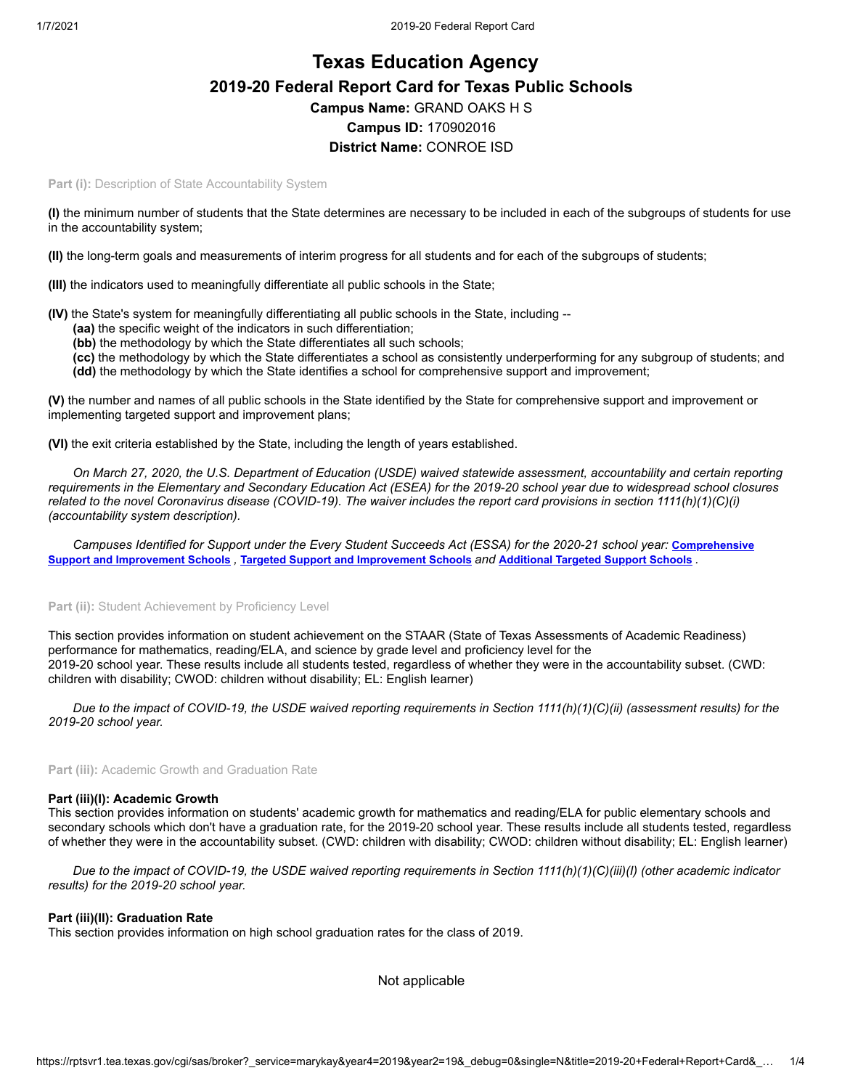# **Texas Education Agency 2019-20 Federal Report Card for Texas Public Schools Campus Name:** GRAND OAKS H S **Campus ID:** 170902016 **District Name:** CONROE ISD

**Part (i): Description of State Accountability System** 

**(I)** the minimum number of students that the State determines are necessary to be included in each of the subgroups of students for use in the accountability system;

**(II)** the long-term goals and measurements of interim progress for all students and for each of the subgroups of students;

**(III)** the indicators used to meaningfully differentiate all public schools in the State;

**(IV)** the State's system for meaningfully differentiating all public schools in the State, including --

- **(aa)** the specific weight of the indicators in such differentiation;
- **(bb)** the methodology by which the State differentiates all such schools;
- **(cc)** the methodology by which the State differentiates a school as consistently underperforming for any subgroup of students; and **(dd)** the methodology by which the State identifies a school for comprehensive support and improvement;

**(V)** the number and names of all public schools in the State identified by the State for comprehensive support and improvement or implementing targeted support and improvement plans;

**(VI)** the exit criteria established by the State, including the length of years established.

*On March 27, 2020, the U.S. Department of Education (USDE) waived statewide assessment, accountability and certain reporting requirements in the Elementary and Secondary Education Act (ESEA) for the 2019-20 school year due to widespread school closures related to the novel Coronavirus disease (COVID-19). The waiver includes the report card provisions in section 1111(h)(1)(C)(i) (accountability system description).*

[Campuses Identified for Support under the Every Student Succeeds Act \(ESSA\) for the 2020-21 school year:](https://tea.texas.gov/sites/default/files/comprehensive_support_2020.xlsx) **Comprehensive** Support and [Improvement](https://tea.texas.gov/sites/default/files/targeted_support_2020.xlsx) Schools, Targeted Support and Improvement Schools and [Additional](https://tea.texas.gov/sites/default/files/additional_targeted_support_2020.xlsx) Targeted Support Schools.

## Part (ii): Student Achievement by Proficiency Level

This section provides information on student achievement on the STAAR (State of Texas Assessments of Academic Readiness) performance for mathematics, reading/ELA, and science by grade level and proficiency level for the 2019-20 school year. These results include all students tested, regardless of whether they were in the accountability subset. (CWD: children with disability; CWOD: children without disability; EL: English learner)

*Due to the impact of COVID-19, the USDE waived reporting requirements in Section 1111(h)(1)(C)(ii) (assessment results) for the 2019-20 school year.*

**Part (iii):** Academic Growth and Graduation Rate

#### **Part (iii)(I): Academic Growth**

This section provides information on students' academic growth for mathematics and reading/ELA for public elementary schools and secondary schools which don't have a graduation rate, for the 2019-20 school year. These results include all students tested, regardless of whether they were in the accountability subset. (CWD: children with disability; CWOD: children without disability; EL: English learner)

*Due to the impact of COVID-19, the USDE waived reporting requirements in Section 1111(h)(1)(C)(iii)(I) (other academic indicator results) for the 2019-20 school year.*

#### **Part (iii)(II): Graduation Rate**

This section provides information on high school graduation rates for the class of 2019.

Not applicable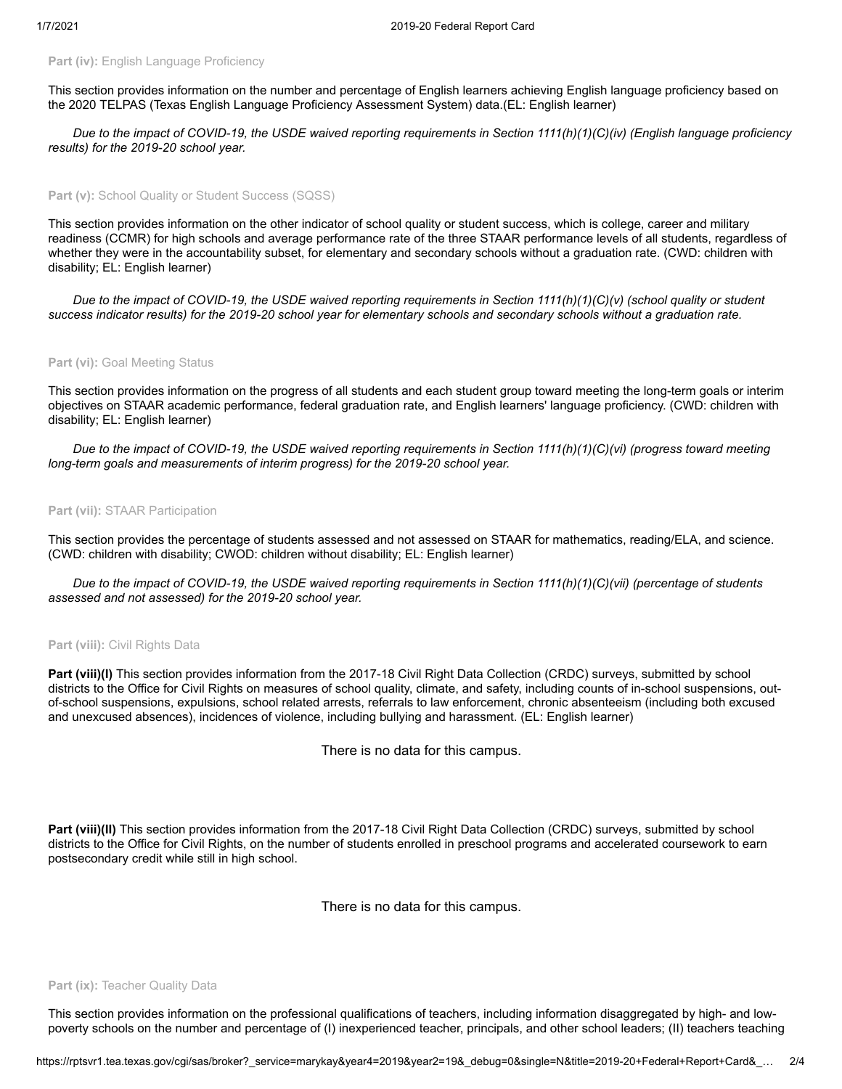# **Part (iv): English Language Proficiency**

This section provides information on the number and percentage of English learners achieving English language proficiency based on the 2020 TELPAS (Texas English Language Proficiency Assessment System) data.(EL: English learner)

*Due to the impact of COVID-19, the USDE waived reporting requirements in Section 1111(h)(1)(C)(iv) (English language proficiency results) for the 2019-20 school year.*

## Part (v): School Quality or Student Success (SQSS)

This section provides information on the other indicator of school quality or student success, which is college, career and military readiness (CCMR) for high schools and average performance rate of the three STAAR performance levels of all students, regardless of whether they were in the accountability subset, for elementary and secondary schools without a graduation rate. (CWD: children with disability; EL: English learner)

*Due to the impact of COVID-19, the USDE waived reporting requirements in Section 1111(h)(1)(C)(v) (school quality or student success indicator results) for the 2019-20 school year for elementary schools and secondary schools without a graduation rate.*

## Part (vi): Goal Meeting Status

This section provides information on the progress of all students and each student group toward meeting the long-term goals or interim objectives on STAAR academic performance, federal graduation rate, and English learners' language proficiency. (CWD: children with disability; EL: English learner)

*Due to the impact of COVID-19, the USDE waived reporting requirements in Section 1111(h)(1)(C)(vi) (progress toward meeting long-term goals and measurements of interim progress) for the 2019-20 school year.*

#### **Part (vii):** STAAR Participation

This section provides the percentage of students assessed and not assessed on STAAR for mathematics, reading/ELA, and science. (CWD: children with disability; CWOD: children without disability; EL: English learner)

*Due to the impact of COVID-19, the USDE waived reporting requirements in Section 1111(h)(1)(C)(vii) (percentage of students assessed and not assessed) for the 2019-20 school year.*

#### **Part (viii):** Civil Rights Data

Part (viii)(I) This section provides information from the 2017-18 Civil Right Data Collection (CRDC) surveys, submitted by school districts to the Office for Civil Rights on measures of school quality, climate, and safety, including counts of in-school suspensions, outof-school suspensions, expulsions, school related arrests, referrals to law enforcement, chronic absenteeism (including both excused and unexcused absences), incidences of violence, including bullying and harassment. (EL: English learner)

There is no data for this campus.

**Part (viii)(II)** This section provides information from the 2017-18 Civil Right Data Collection (CRDC) surveys, submitted by school districts to the Office for Civil Rights, on the number of students enrolled in preschool programs and accelerated coursework to earn postsecondary credit while still in high school.

There is no data for this campus.

#### **Part (ix): Teacher Quality Data**

This section provides information on the professional qualifications of teachers, including information disaggregated by high- and lowpoverty schools on the number and percentage of (I) inexperienced teacher, principals, and other school leaders; (II) teachers teaching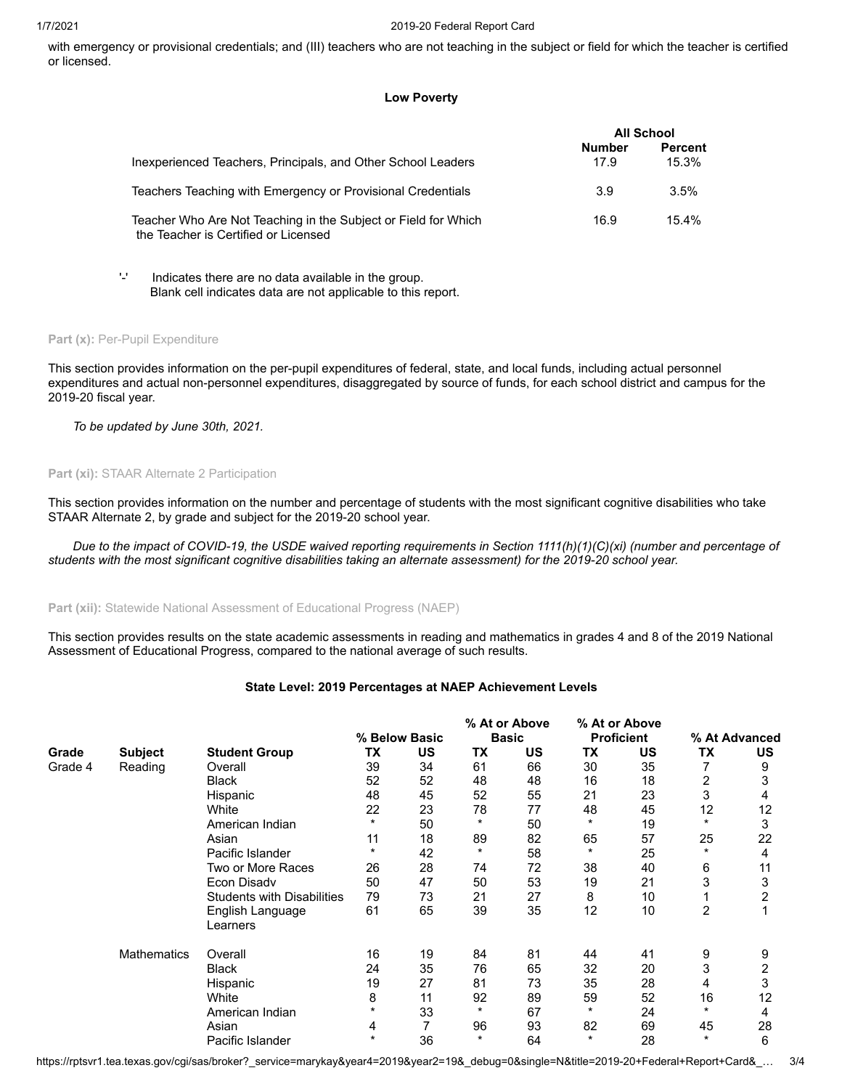#### 1/7/2021 2019-20 Federal Report Card

with emergency or provisional credentials; and (III) teachers who are not teaching in the subject or field for which the teacher is certified or licensed.

# **Low Poverty**

|                                                                                                        | <b>All School</b>     |                  |
|--------------------------------------------------------------------------------------------------------|-----------------------|------------------|
| Inexperienced Teachers, Principals, and Other School Leaders                                           | <b>Number</b><br>17.9 | Percent<br>15.3% |
| Teachers Teaching with Emergency or Provisional Credentials                                            | 3.9                   | 3.5%             |
| Teacher Who Are Not Teaching in the Subject or Field for Which<br>the Teacher is Certified or Licensed | 16.9                  | 15.4%            |

'-' Indicates there are no data available in the group. Blank cell indicates data are not applicable to this report.

## Part (x): Per-Pupil Expenditure

This section provides information on the per-pupil expenditures of federal, state, and local funds, including actual personnel expenditures and actual non-personnel expenditures, disaggregated by source of funds, for each school district and campus for the 2019-20 fiscal year.

*To be updated by June 30th, 2021.*

# **Part (xi):** STAAR Alternate 2 Participation

This section provides information on the number and percentage of students with the most significant cognitive disabilities who take STAAR Alternate 2, by grade and subject for the 2019-20 school year.

*Due to the impact of COVID-19, the USDE waived reporting requirements in Section 1111(h)(1)(C)(xi) (number and percentage of students with the most significant cognitive disabilities taking an alternate assessment) for the 2019-20 school year.*

# **Part (xii):** Statewide National Assessment of Educational Progress (NAEP)

This section provides results on the state academic assessments in reading and mathematics in grades 4 and 8 of the 2019 National Assessment of Educational Progress, compared to the national average of such results.

# **State Level: 2019 Percentages at NAEP Achievement Levels**

|         |                    |                                   |         |               |           | % At or Above | % At or Above |                   |         |               |
|---------|--------------------|-----------------------------------|---------|---------------|-----------|---------------|---------------|-------------------|---------|---------------|
|         |                    |                                   |         | % Below Basic |           | <b>Basic</b>  |               | <b>Proficient</b> |         | % At Advanced |
| Grade   | <b>Subject</b>     | <b>Student Group</b>              | ТX      | <b>US</b>     | <b>TX</b> | US            | ТX            | US                | ТX      | US            |
| Grade 4 | Reading            | Overall                           | 39      | 34            | 61        | 66            | 30            | 35                |         | 9             |
|         |                    | <b>Black</b>                      | 52      | 52            | 48        | 48            | 16            | 18                | 2       | 3             |
|         |                    | Hispanic                          | 48      | 45            | 52        | 55            | 21            | 23                | 3       | 4             |
|         |                    | White                             | 22      | 23            | 78        | 77            | 48            | 45                | 12      | 12            |
|         |                    | American Indian                   | $\star$ | 50            | *         | 50            |               | 19                | $\star$ | 3             |
|         |                    | Asian                             | 11      | 18            | 89        | 82            | 65            | 57                | 25      | 22            |
|         |                    | Pacific Islander                  | $\star$ | 42            | $^\ast$   | 58            | $\star$       | 25                | $\star$ | 4             |
|         |                    | Two or More Races                 | 26      | 28            | 74        | 72            | 38            | 40                | 6       | 11            |
|         |                    | Econ Disadv                       | 50      | 47            | 50        | 53            | 19            | 21                | 3       | 3             |
|         |                    | <b>Students with Disabilities</b> | 79      | 73            | 21        | 27            | 8             | 10                |         | 2             |
|         |                    | English Language                  | 61      | 65            | 39        | 35            | 12            | 10                | 2       |               |
|         |                    | Learners                          |         |               |           |               |               |                   |         |               |
|         | <b>Mathematics</b> | Overall                           | 16      | 19            | 84        | 81            | 44            | 41                | 9       | 9             |
|         |                    | <b>Black</b>                      | 24      | 35            | 76        | 65            | 32            | 20                | 3       | 2             |
|         |                    | Hispanic                          | 19      | 27            | 81        | 73            | 35            | 28                | 4       | 3             |
|         |                    | White                             | 8       | 11            | 92        | 89            | 59            | 52                | 16      | 12            |
|         |                    | American Indian                   |         | 33            | *         | 67            | $\ast$        | 24                | $\star$ | 4             |
|         |                    | Asian                             | 4       | 7             | 96        | 93            | 82            | 69                | 45      | 28            |
|         |                    | Pacific Islander                  | $\star$ | 36            | $\star$   | 64            | $\star$       | 28                | $\star$ | 6             |